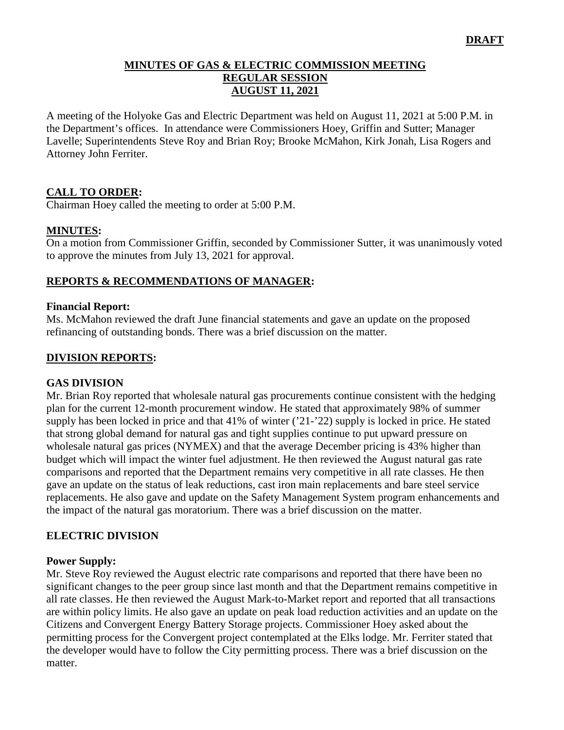### **MINUTES OF GAS & ELECTRIC COMMISSION MEETING REGULAR SESSION AUGUST 11, 2021**

A meeting of the Holyoke Gas and Electric Department was held on August 11, 2021 at 5:00 P.M. in the Department's offices. In attendance were Commissioners Hoey, Griffin and Sutter; Manager Lavelle; Superintendents Steve Roy and Brian Roy; Brooke McMahon, Kirk Jonah, Lisa Rogers and Attorney John Ferriter.

## **CALL TO ORDER:**

Chairman Hoey called the meeting to order at 5:00 P.M.

### **MINUTES:**

On a motion from Commissioner Griffin, seconded by Commissioner Sutter, it was unanimously voted to approve the minutes from July 13, 2021 for approval.

### **REPORTS & RECOMMENDATIONS OF MANAGER:**

#### **Financial Report:**

Ms. McMahon reviewed the draft June financial statements and gave an update on the proposed refinancing of outstanding bonds. There was a brief discussion on the matter.

### **DIVISION REPORTS:**

#### **GAS DIVISION**

Mr. Brian Roy reported that wholesale natural gas procurements continue consistent with the hedging plan for the current 12-month procurement window. He stated that approximately 98% of summer supply has been locked in price and that 41% of winter ('21-'22) supply is locked in price. He stated that strong global demand for natural gas and tight supplies continue to put upward pressure on wholesale natural gas prices (NYMEX) and that the average December pricing is 43% higher than budget which will impact the winter fuel adjustment. He then reviewed the August natural gas rate comparisons and reported that the Department remains very competitive in all rate classes. He then gave an update on the status of leak reductions, cast iron main replacements and bare steel service replacements. He also gave and update on the Safety Management System program enhancements and the impact of the natural gas moratorium. There was a brief discussion on the matter.

#### **ELECTRIC DIVISION**

#### **Power Supply:**

Mr. Steve Roy reviewed the August electric rate comparisons and reported that there have been no significant changes to the peer group since last month and that the Department remains competitive in all rate classes. He then reviewed the August Mark-to-Market report and reported that all transactions are within policy limits. He also gave an update on peak load reduction activities and an update on the Citizens and Convergent Energy Battery Storage projects. Commissioner Hoey asked about the permitting process for the Convergent project contemplated at the Elks lodge. Mr. Ferriter stated that the developer would have to follow the City permitting process. There was a brief discussion on the matter.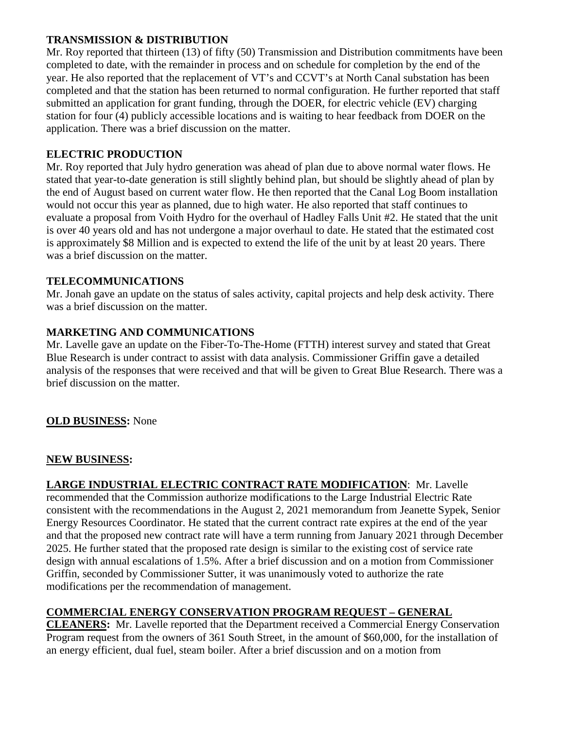### **TRANSMISSION & DISTRIBUTION**

Mr. Roy reported that thirteen (13) of fifty (50) Transmission and Distribution commitments have been completed to date, with the remainder in process and on schedule for completion by the end of the year. He also reported that the replacement of VT's and CCVT's at North Canal substation has been completed and that the station has been returned to normal configuration. He further reported that staff submitted an application for grant funding, through the DOER, for electric vehicle (EV) charging station for four (4) publicly accessible locations and is waiting to hear feedback from DOER on the application. There was a brief discussion on the matter.

## **ELECTRIC PRODUCTION**

Mr. Roy reported that July hydro generation was ahead of plan due to above normal water flows. He stated that year-to-date generation is still slightly behind plan, but should be slightly ahead of plan by the end of August based on current water flow. He then reported that the Canal Log Boom installation would not occur this year as planned, due to high water. He also reported that staff continues to evaluate a proposal from Voith Hydro for the overhaul of Hadley Falls Unit #2. He stated that the unit is over 40 years old and has not undergone a major overhaul to date. He stated that the estimated cost is approximately \$8 Million and is expected to extend the life of the unit by at least 20 years. There was a brief discussion on the matter.

## **TELECOMMUNICATIONS**

Mr. Jonah gave an update on the status of sales activity, capital projects and help desk activity. There was a brief discussion on the matter.

# **MARKETING AND COMMUNICATIONS**

Mr. Lavelle gave an update on the Fiber-To-The-Home (FTTH) interest survey and stated that Great Blue Research is under contract to assist with data analysis. Commissioner Griffin gave a detailed analysis of the responses that were received and that will be given to Great Blue Research. There was a brief discussion on the matter.

## **OLD BUSINESS:** None

## **NEW BUSINESS:**

**LARGE INDUSTRIAL ELECTRIC CONTRACT RATE MODIFICATION**: Mr. Lavelle recommended that the Commission authorize modifications to the Large Industrial Electric Rate consistent with the recommendations in the August 2, 2021 memorandum from Jeanette Sypek, Senior Energy Resources Coordinator. He stated that the current contract rate expires at the end of the year and that the proposed new contract rate will have a term running from January 2021 through December 2025. He further stated that the proposed rate design is similar to the existing cost of service rate design with annual escalations of 1.5%. After a brief discussion and on a motion from Commissioner Griffin, seconded by Commissioner Sutter, it was unanimously voted to authorize the rate modifications per the recommendation of management.

# **COMMERCIAL ENERGY CONSERVATION PROGRAM REQUEST – GENERAL**

**CLEANERS:** Mr. Lavelle reported that the Department received a Commercial Energy Conservation Program request from the owners of 361 South Street, in the amount of \$60,000, for the installation of an energy efficient, dual fuel, steam boiler. After a brief discussion and on a motion from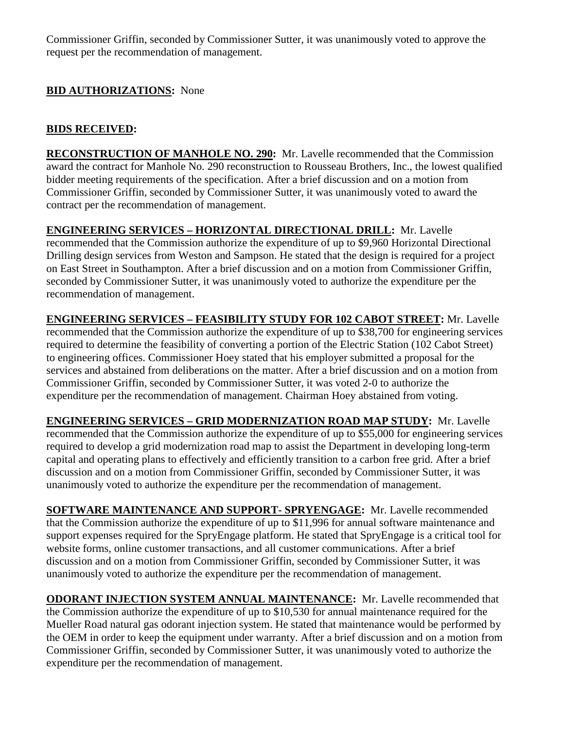Commissioner Griffin, seconded by Commissioner Sutter, it was unanimously voted to approve the request per the recommendation of management.

# **BID AUTHORIZATIONS:** None

# **BIDS RECEIVED:**

**RECONSTRUCTION OF MANHOLE NO. 290:** Mr. Lavelle recommended that the Commission award the contract for Manhole No. 290 reconstruction to Rousseau Brothers, Inc., the lowest qualified bidder meeting requirements of the specification. After a brief discussion and on a motion from Commissioner Griffin, seconded by Commissioner Sutter, it was unanimously voted to award the contract per the recommendation of management.

**ENGINEERING SERVICES – HORIZONTAL DIRECTIONAL DRILL:** Mr. Lavelle recommended that the Commission authorize the expenditure of up to \$9,960 Horizontal Directional Drilling design services from Weston and Sampson. He stated that the design is required for a project on East Street in Southampton. After a brief discussion and on a motion from Commissioner Griffin, seconded by Commissioner Sutter, it was unanimously voted to authorize the expenditure per the recommendation of management.

**ENGINEERING SERVICES – FEASIBILITY STUDY FOR 102 CABOT STREET:** Mr. Lavelle recommended that the Commission authorize the expenditure of up to \$38,700 for engineering services required to determine the feasibility of converting a portion of the Electric Station (102 Cabot Street) to engineering offices. Commissioner Hoey stated that his employer submitted a proposal for the services and abstained from deliberations on the matter. After a brief discussion and on a motion from Commissioner Griffin, seconded by Commissioner Sutter, it was voted 2-0 to authorize the expenditure per the recommendation of management. Chairman Hoey abstained from voting.

**ENGINEERING SERVICES – GRID MODERNIZATION ROAD MAP STUDY:** Mr. Lavelle recommended that the Commission authorize the expenditure of up to \$55,000 for engineering services required to develop a grid modernization road map to assist the Department in developing long-term capital and operating plans to effectively and efficiently transition to a carbon free grid. After a brief discussion and on a motion from Commissioner Griffin, seconded by Commissioner Sutter, it was unanimously voted to authorize the expenditure per the recommendation of management.

**SOFTWARE MAINTENANCE AND SUPPORT- SPRYENGAGE:** Mr. Lavelle recommended that the Commission authorize the expenditure of up to \$11,996 for annual software maintenance and support expenses required for the SpryEngage platform. He stated that SpryEngage is a critical tool for website forms, online customer transactions, and all customer communications. After a brief discussion and on a motion from Commissioner Griffin, seconded by Commissioner Sutter, it was unanimously voted to authorize the expenditure per the recommendation of management.

**ODORANT INJECTION SYSTEM ANNUAL MAINTENANCE:** Mr. Lavelle recommended that the Commission authorize the expenditure of up to \$10,530 for annual maintenance required for the Mueller Road natural gas odorant injection system. He stated that maintenance would be performed by the OEM in order to keep the equipment under warranty. After a brief discussion and on a motion from Commissioner Griffin, seconded by Commissioner Sutter, it was unanimously voted to authorize the expenditure per the recommendation of management.